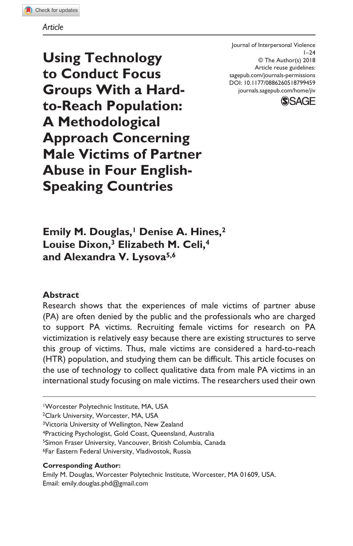#### *Article*

**Using Technology to Conduct Focus Groups With a Hardto-Reach Population: A Methodological Approach Concerning Male Victims of Partner Abuse in Four English-Speaking Countries**

DOI: 10.1177/0886260518799459 Journal of Interpersonal Violence  $1 - 24$ © The Author(s) 2018 Article reuse guidelines: [sagepub.com/journals-permissions](https://us.sagepub.com/en-us/journals-permissions) [journals.sagepub.com/home/jiv](https://journals.sagepub.com/home/jiv)



**Emily M. Douglas,<sup>1</sup> Denise A. Hines,<sup>2</sup> Louise Dixon,3 Elizabeth M. Celi,4 and Alexandra V. Lysova5,6**

#### **Abstract**

Research shows that the experiences of male victims of partner abuse (PA) are often denied by the public and the professionals who are charged to support PA victims. Recruiting female victims for research on PA victimization is relatively easy because there are existing structures to serve this group of victims. Thus, male victims are considered a hard-to-reach (HTR) population, and studying them can be difficult. This article focuses on the use of technology to collect qualitative data from male PA victims in an international study focusing on male victims. The researchers used their own

3Victoria University of Wellington, New Zealand

4Practicing Psychologist, Gold Coast, Queensland, Australia

5Simon Fraser University, Vancouver, British Columbia, Canada

6Far Eastern Federal University, Vladivostok, Russia

#### **Corresponding Author:**

Emily M. Douglas, Worcester Polytechnic Institute, Worcester, MA 01609, USA. Email: [emily.douglas.phd@gmail.com](mailto:emily.douglas.phd@gmail.com)

<sup>1</sup>Worcester Polytechnic Institute, MA, USA

<sup>2</sup>Clark University, Worcester, MA, USA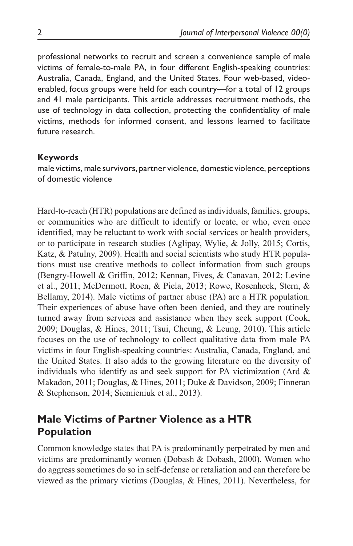professional networks to recruit and screen a convenience sample of male victims of female-to-male PA, in four different English-speaking countries: Australia, Canada, England, and the United States. Four web-based, videoenabled, focus groups were held for each country—for a total of 12 groups and 41 male participants. This article addresses recruitment methods, the use of technology in data collection, protecting the confidentiality of male victims, methods for informed consent, and lessons learned to facilitate future research.

#### **Keywords**

male victims, male survivors, partner violence, domestic violence, perceptions of domestic violence

Hard-to-reach (HTR) populations are defined as individuals, families, groups, or communities who are difficult to identify or locate, or who, even once identified, may be reluctant to work with social services or health providers, or to participate in research studies (Aglipay, Wylie, & Jolly, 2015; Cortis, Katz, & Patulny, 2009). Health and social scientists who study HTR populations must use creative methods to collect information from such groups (Bengry-Howell & Griffin, 2012; Kennan, Fives, & Canavan, 2012; Levine et al., 2011; McDermott, Roen, & Piela, 2013; Rowe, Rosenheck, Stern, & Bellamy, 2014). Male victims of partner abuse (PA) are a HTR population. Their experiences of abuse have often been denied, and they are routinely turned away from services and assistance when they seek support (Cook, 2009; Douglas, & Hines, 2011; Tsui, Cheung, & Leung, 2010). This article focuses on the use of technology to collect qualitative data from male PA victims in four English-speaking countries: Australia, Canada, England, and the United States. It also adds to the growing literature on the diversity of individuals who identify as and seek support for PA victimization (Ard & Makadon, 2011; Douglas, & Hines, 2011; Duke & Davidson, 2009; Finneran & Stephenson, 2014; Siemieniuk et al., 2013).

## **Male Victims of Partner Violence as a HTR Population**

Common knowledge states that PA is predominantly perpetrated by men and victims are predominantly women (Dobash & Dobash, 2000). Women who do aggress sometimes do so in self-defense or retaliation and can therefore be viewed as the primary victims (Douglas, & Hines, 2011). Nevertheless, for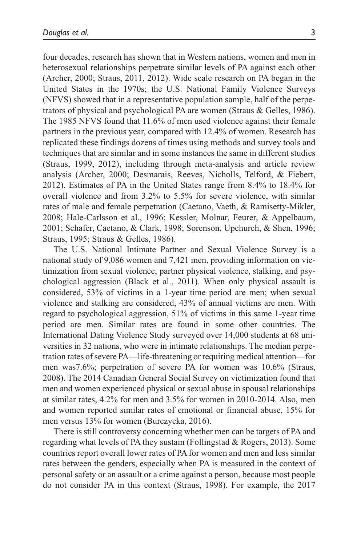four decades, research has shown that in Western nations, women and men in heterosexual relationships perpetrate similar levels of PA against each other (Archer, 2000; Straus, 2011, 2012). Wide scale research on PA began in the United States in the 1970s; the U.S. National Family Violence Surveys (NFVS) showed that in a representative population sample, half of the perpetrators of physical and psychological PA are women (Straus & Gelles, 1986). The 1985 NFVS found that 11.6% of men used violence against their female partners in the previous year, compared with 12.4% of women. Research has replicated these findings dozens of times using methods and survey tools and techniques that are similar and in some instances the same in different studies (Straus, 1999, 2012), including through meta-analysis and article review analysis (Archer, 2000; Desmarais, Reeves, Nicholls, Telford, & Fiebert, 2012). Estimates of PA in the United States range from 8.4% to 18.4% for overall violence and from 3.2% to 5.5% for severe violence, with similar rates of male and female perpetration (Caetano, Vaeth, & Ramisetty-Mikler, 2008; Hale-Carlsson et al., 1996; Kessler, Molnar, Feurer, & Appelbaum, 2001; Schafer, Caetano, & Clark, 1998; Sorenson, Upchurch, & Shen, 1996; Straus, 1995; Straus & Gelles, 1986).

The U.S. National Intimate Partner and Sexual Violence Survey is a national study of 9,086 women and 7,421 men, providing information on victimization from sexual violence, partner physical violence, stalking, and psychological aggression (Black et al., 2011). When only physical assault is considered, 53% of victims in a 1-year time period are men; when sexual violence and stalking are considered, 43% of annual victims are men. With regard to psychological aggression, 51% of victims in this same 1-year time period are men. Similar rates are found in some other countries. The International Dating Violence Study surveyed over 14,000 students at 68 universities in 32 nations, who were in intimate relationships. The median perpetration rates of severe PA—life-threatening or requiring medical attention—for men was7.6%; perpetration of severe PA for women was 10.6% (Straus, 2008). The 2014 Canadian General Social Survey on victimization found that men and women experienced physical or sexual abuse in spousal relationships at similar rates, 4.2% for men and 3.5% for women in 2010-2014. Also, men and women reported similar rates of emotional or financial abuse, 15% for men versus 13% for women (Burczycka, 2016).

There is still controversy concerning whether men can be targets of PA and regarding what levels of PA they sustain (Follingstad & Rogers, 2013). Some countries report overall lower rates of PA for women and men and less similar rates between the genders, especially when PA is measured in the context of personal safety or an assault or a crime against a person, because most people do not consider PA in this context (Straus, 1998). For example, the 2017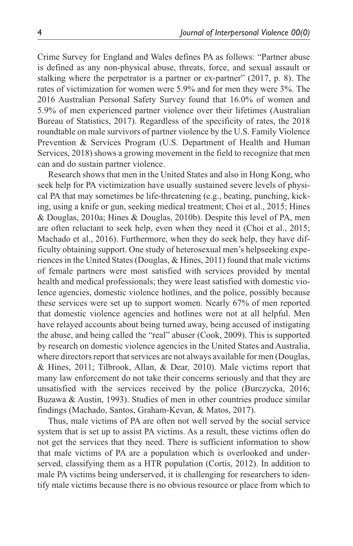Crime Survey for England and Wales defines PA as follows: "Partner abuse is defined as any non-physical abuse, threats, force, and sexual assault or stalking where the perpetrator is a partner or ex-partner" (2017, p. 8). The rates of victimization for women were 5.9% and for men they were 3%. The 2016 Australian Personal Safety Survey found that 16.0% of women and 5.9% of men experienced partner violence over their lifetimes (Australian Bureau of Statistics, 2017). Regardless of the specificity of rates, the 2018 roundtable on male survivors of partner violence by the U.S. Family Violence Prevention & Services Program (U.S. Department of Health and Human Services, 2018) shows a growing movement in the field to recognize that men can and do sustain partner violence.

Research shows that men in the United States and also in Hong Kong, who seek help for PA victimization have usually sustained severe levels of physical PA that may sometimes be life-threatening (e.g., beating, punching, kicking, using a knife or gun, seeking medical treatment; Choi et al., 2015; Hines & Douglas, 2010a; Hines & Douglas, 2010b). Despite this level of PA, men are often reluctant to seek help, even when they need it (Choi et al., 2015; Machado et al., 2016). Furthermore, when they do seek help, they have difficulty obtaining support. One study of heterosexual men's helpseeking experiences in the United States (Douglas, & Hines, 2011) found that male victims of female partners were most satisfied with services provided by mental health and medical professionals; they were least satisfied with domestic violence agencies, domestic violence hotlines, and the police, possibly because these services were set up to support women. Nearly 67% of men reported that domestic violence agencies and hotlines were not at all helpful. Men have relayed accounts about being turned away, being accused of instigating the abuse, and being called the "real" abuser (Cook, 2009). This is supported by research on domestic violence agencies in the United States and Australia, where directors report that services are not always available for men (Douglas, & Hines, 2011; Tilbrook, Allan, & Dear, 2010). Male victims report that many law enforcement do not take their concerns seriously and that they are unsatisfied with the services received by the police (Burczycka, 2016; Buzawa & Austin, 1993). Studies of men in other countries produce similar findings (Machado, Santos, Graham-Kevan, & Matos, 2017).

Thus, male victims of PA are often not well served by the social service system that is set up to assist PA victims. As a result, these victims often do not get the services that they need. There is sufficient information to show that male victims of PA are a population which is overlooked and underserved, classifying them as a HTR population (Cortis, 2012). In addition to male PA victims being underserved, it is challenging for researchers to identify male victims because there is no obvious resource or place from which to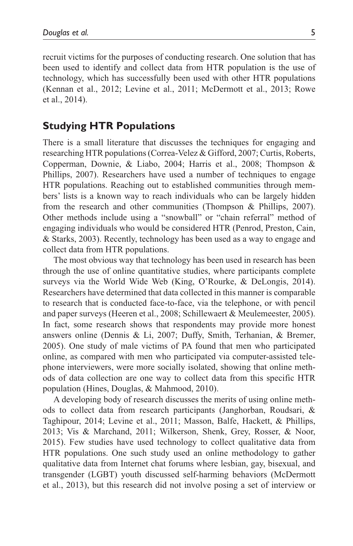recruit victims for the purposes of conducting research. One solution that has been used to identify and collect data from HTR population is the use of technology, which has successfully been used with other HTR populations (Kennan et al., 2012; Levine et al., 2011; McDermott et al., 2013; Rowe et al., 2014).

### **Studying HTR Populations**

There is a small literature that discusses the techniques for engaging and researching HTR populations (Correa-Velez & Gifford, 2007; Curtis, Roberts, Copperman, Downie, & Liabo, 2004; Harris et al., 2008; Thompson & Phillips, 2007). Researchers have used a number of techniques to engage HTR populations. Reaching out to established communities through members' lists is a known way to reach individuals who can be largely hidden from the research and other communities (Thompson & Phillips, 2007). Other methods include using a "snowball" or "chain referral" method of engaging individuals who would be considered HTR (Penrod, Preston, Cain, & Starks, 2003). Recently, technology has been used as a way to engage and collect data from HTR populations.

The most obvious way that technology has been used in research has been through the use of online quantitative studies, where participants complete surveys via the World Wide Web (King, O'Rourke, & DeLongis, 2014). Researchers have determined that data collected in this manner is comparable to research that is conducted face-to-face, via the telephone, or with pencil and paper surveys (Heeren et al., 2008; Schillewaert & Meulemeester, 2005). In fact, some research shows that respondents may provide more honest answers online (Dennis & Li, 2007; Duffy, Smith, Terhanian, & Bremer, 2005). One study of male victims of PA found that men who participated online, as compared with men who participated via computer-assisted telephone interviewers, were more socially isolated, showing that online methods of data collection are one way to collect data from this specific HTR population (Hines, Douglas, & Mahmood, 2010).

A developing body of research discusses the merits of using online methods to collect data from research participants (Janghorban, Roudsari, & Taghipour, 2014; Levine et al., 2011; Masson, Balfe, Hackett, & Phillips, 2013; Vis & Marchand, 2011; Wilkerson, Shenk, Grey, Rosser, & Noor, 2015). Few studies have used technology to collect qualitative data from HTR populations. One such study used an online methodology to gather qualitative data from Internet chat forums where lesbian, gay, bisexual, and transgender (LGBT) youth discussed self-harming behaviors (McDermott et al., 2013), but this research did not involve posing a set of interview or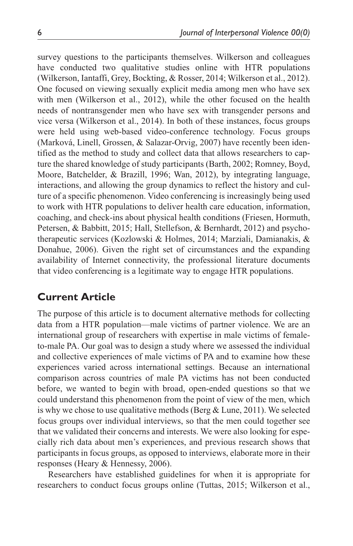survey questions to the participants themselves. Wilkerson and colleagues have conducted two qualitative studies online with HTR populations (Wilkerson, Iantaffi, Grey, Bockting, & Rosser, 2014; Wilkerson et al., 2012). One focused on viewing sexually explicit media among men who have sex with men (Wilkerson et al., 2012), while the other focused on the health needs of nontransgender men who have sex with transgender persons and vice versa (Wilkerson et al., 2014). In both of these instances, focus groups were held using web-based video-conference technology. Focus groups (Marková, Linell, Grossen, & Salazar-Orvig, 2007) have recently been identified as the method to study and collect data that allows researchers to capture the shared knowledge of study participants (Barth, 2002; Romney, Boyd, Moore, Batchelder, & Brazill, 1996; Wan, 2012), by integrating language, interactions, and allowing the group dynamics to reflect the history and culture of a specific phenomenon. Video conferencing is increasingly being used to work with HTR populations to deliver health care education, information, coaching, and check-ins about physical health conditions (Friesen, Hormuth, Petersen, & Babbitt, 2015; Hall, Stellefson, & Bernhardt, 2012) and psychotherapeutic services (Kozlowski & Holmes, 2014; Marziali, Damianakis, & Donahue, 2006). Given the right set of circumstances and the expanding availability of Internet connectivity, the professional literature documents that video conferencing is a legitimate way to engage HTR populations.

## **Current Article**

The purpose of this article is to document alternative methods for collecting data from a HTR population—male victims of partner violence. We are an international group of researchers with expertise in male victims of femaleto-male PA. Our goal was to design a study where we assessed the individual and collective experiences of male victims of PA and to examine how these experiences varied across international settings. Because an international comparison across countries of male PA victims has not been conducted before, we wanted to begin with broad, open-ended questions so that we could understand this phenomenon from the point of view of the men, which is why we chose to use qualitative methods (Berg & Lune, 2011). We selected focus groups over individual interviews, so that the men could together see that we validated their concerns and interests. We were also looking for especially rich data about men's experiences, and previous research shows that participants in focus groups, as opposed to interviews, elaborate more in their responses (Heary & Hennessy, 2006).

Researchers have established guidelines for when it is appropriate for researchers to conduct focus groups online (Tuttas, 2015; Wilkerson et al.,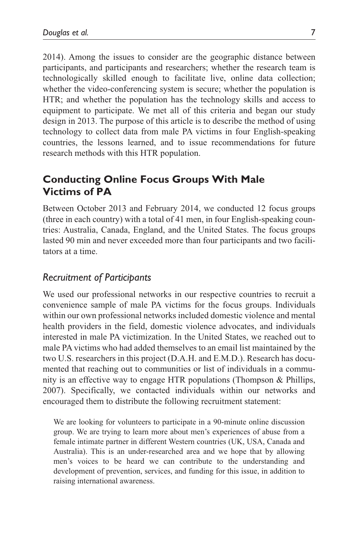2014). Among the issues to consider are the geographic distance between participants, and participants and researchers; whether the research team is technologically skilled enough to facilitate live, online data collection; whether the video-conferencing system is secure; whether the population is HTR; and whether the population has the technology skills and access to equipment to participate. We met all of this criteria and began our study design in 2013. The purpose of this article is to describe the method of using technology to collect data from male PA victims in four English-speaking countries, the lessons learned, and to issue recommendations for future research methods with this HTR population.

# **Conducting Online Focus Groups With Male Victims of PA**

Between October 2013 and February 2014, we conducted 12 focus groups (three in each country) with a total of 41 men, in four English-speaking countries: Australia, Canada, England, and the United States. The focus groups lasted 90 min and never exceeded more than four participants and two facilitators at a time.

### *Recruitment of Participants*

We used our professional networks in our respective countries to recruit a convenience sample of male PA victims for the focus groups. Individuals within our own professional networks included domestic violence and mental health providers in the field, domestic violence advocates, and individuals interested in male PA victimization. In the United States, we reached out to male PA victims who had added themselves to an email list maintained by the two U.S. researchers in this project (D.A.H. and E.M.D.). Research has documented that reaching out to communities or list of individuals in a community is an effective way to engage HTR populations (Thompson & Phillips, 2007). Specifically, we contacted individuals within our networks and encouraged them to distribute the following recruitment statement:

We are looking for volunteers to participate in a 90-minute online discussion group. We are trying to learn more about men's experiences of abuse from a female intimate partner in different Western countries (UK, USA, Canada and Australia). This is an under-researched area and we hope that by allowing men's voices to be heard we can contribute to the understanding and development of prevention, services, and funding for this issue, in addition to raising international awareness.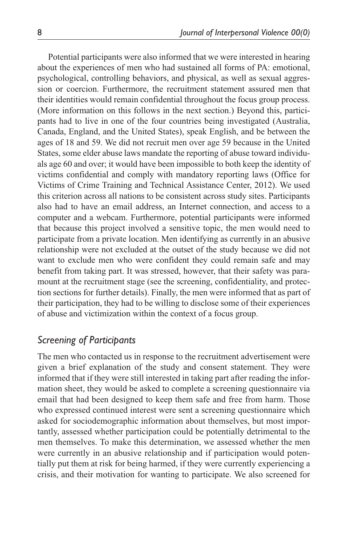Potential participants were also informed that we were interested in hearing about the experiences of men who had sustained all forms of PA: emotional, psychological, controlling behaviors, and physical, as well as sexual aggression or coercion. Furthermore, the recruitment statement assured men that their identities would remain confidential throughout the focus group process. (More information on this follows in the next section.) Beyond this, participants had to live in one of the four countries being investigated (Australia, Canada, England, and the United States), speak English, and be between the ages of 18 and 59. We did not recruit men over age 59 because in the United States, some elder abuse laws mandate the reporting of abuse toward individuals age 60 and over; it would have been impossible to both keep the identity of victims confidential and comply with mandatory reporting laws (Office for Victims of Crime Training and Technical Assistance Center, 2012). We used this criterion across all nations to be consistent across study sites. Participants also had to have an email address, an Internet connection, and access to a computer and a webcam. Furthermore, potential participants were informed that because this project involved a sensitive topic, the men would need to participate from a private location. Men identifying as currently in an abusive relationship were not excluded at the outset of the study because we did not want to exclude men who were confident they could remain safe and may benefit from taking part. It was stressed, however, that their safety was paramount at the recruitment stage (see the screening, confidentiality, and protection sections for further details). Finally, the men were informed that as part of their participation, they had to be willing to disclose some of their experiences of abuse and victimization within the context of a focus group.

## *Screening of Participants*

The men who contacted us in response to the recruitment advertisement were given a brief explanation of the study and consent statement. They were informed that if they were still interested in taking part after reading the information sheet, they would be asked to complete a screening questionnaire via email that had been designed to keep them safe and free from harm. Those who expressed continued interest were sent a screening questionnaire which asked for sociodemographic information about themselves, but most importantly, assessed whether participation could be potentially detrimental to the men themselves. To make this determination, we assessed whether the men were currently in an abusive relationship and if participation would potentially put them at risk for being harmed, if they were currently experiencing a crisis, and their motivation for wanting to participate. We also screened for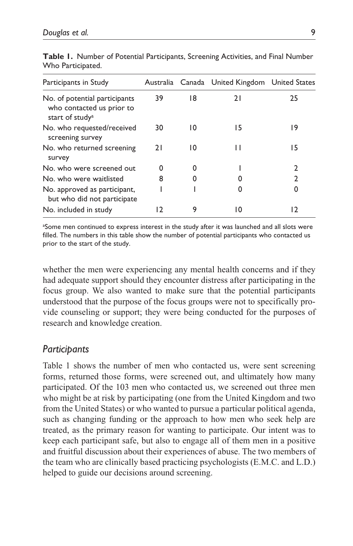| Participants in Study                                                                     |    |    | Australia Canada United Kingdom United States |                |
|-------------------------------------------------------------------------------------------|----|----|-----------------------------------------------|----------------|
| No. of potential participants<br>who contacted us prior to<br>start of study <sup>a</sup> | 39 | 18 | 21                                            | 25             |
| No. who requested/received<br>screening survey                                            | 30 | 10 | 15                                            | 19             |
| No. who returned screening<br>survey                                                      | 21 | 10 |                                               | 15             |
| No. who were screened out                                                                 | O  | o  |                                               | 2              |
| No. who were waitlisted                                                                   | 8  | 0  |                                               | $\mathfrak{p}$ |
| No. approved as participant,<br>but who did not participate                               |    |    |                                               |                |
| No. included in study                                                                     | 17 |    | 10                                            | 17             |

**Table 1.** Number of Potential Participants, Screening Activities, and Final Number Who Participated.

<sup>a</sup>Some men continued to express interest in the study after it was launched and all slots were filled. The numbers in this table show the number of potential participants who contacted us prior to the start of the study.

whether the men were experiencing any mental health concerns and if they had adequate support should they encounter distress after participating in the focus group. We also wanted to make sure that the potential participants understood that the purpose of the focus groups were not to specifically provide counseling or support; they were being conducted for the purposes of research and knowledge creation.

## *Participants*

Table 1 shows the number of men who contacted us, were sent screening forms, returned those forms, were screened out, and ultimately how many participated. Of the 103 men who contacted us, we screened out three men who might be at risk by participating (one from the United Kingdom and two from the United States) or who wanted to pursue a particular political agenda, such as changing funding or the approach to how men who seek help are treated, as the primary reason for wanting to participate. Our intent was to keep each participant safe, but also to engage all of them men in a positive and fruitful discussion about their experiences of abuse. The two members of the team who are clinically based practicing psychologists (E.M.C. and L.D.) helped to guide our decisions around screening.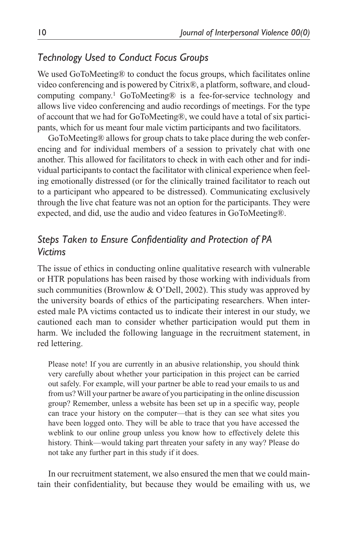## *Technology Used to Conduct Focus Groups*

We used GoToMeeting® to conduct the focus groups, which facilitates online video conferencing and is powered by Citrix®, a platform, software, and cloudcomputing company.<sup>1</sup> GoToMeeting® is a fee-for-service technology and allows live video conferencing and audio recordings of meetings. For the type of account that we had for GoToMeeting®, we could have a total of six participants, which for us meant four male victim participants and two facilitators.

GoToMeeting® allows for group chats to take place during the web conferencing and for individual members of a session to privately chat with one another. This allowed for facilitators to check in with each other and for individual participants to contact the facilitator with clinical experience when feeling emotionally distressed (or for the clinically trained facilitator to reach out to a participant who appeared to be distressed). Communicating exclusively through the live chat feature was not an option for the participants. They were expected, and did, use the audio and video features in GoToMeeting®.

# *Steps Taken to Ensure Confidentiality and Protection of PA Victims*

The issue of ethics in conducting online qualitative research with vulnerable or HTR populations has been raised by those working with individuals from such communities (Brownlow & O'Dell, 2002). This study was approved by the university boards of ethics of the participating researchers. When interested male PA victims contacted us to indicate their interest in our study, we cautioned each man to consider whether participation would put them in harm. We included the following language in the recruitment statement, in red lettering.

Please note! If you are currently in an abusive relationship, you should think very carefully about whether your participation in this project can be carried out safely. For example, will your partner be able to read your emails to us and from us? Will your partner be aware of you participating in the online discussion group? Remember, unless a website has been set up in a specific way, people can trace your history on the computer—that is they can see what sites you have been logged onto. They will be able to trace that you have accessed the weblink to our online group unless you know how to effectively delete this history. Think—would taking part threaten your safety in any way? Please do not take any further part in this study if it does.

In our recruitment statement, we also ensured the men that we could maintain their confidentiality, but because they would be emailing with us, we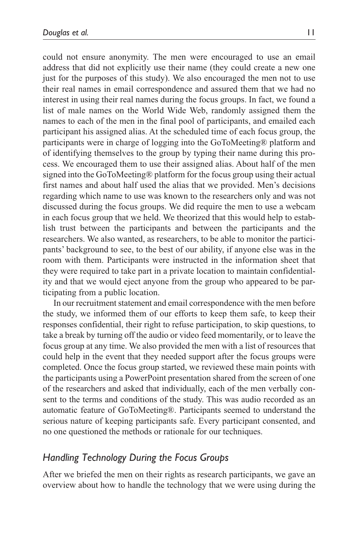could not ensure anonymity. The men were encouraged to use an email address that did not explicitly use their name (they could create a new one just for the purposes of this study). We also encouraged the men not to use their real names in email correspondence and assured them that we had no interest in using their real names during the focus groups. In fact, we found a list of male names on the World Wide Web, randomly assigned them the names to each of the men in the final pool of participants, and emailed each participant his assigned alias. At the scheduled time of each focus group, the participants were in charge of logging into the GoToMeeting® platform and of identifying themselves to the group by typing their name during this process. We encouraged them to use their assigned alias. About half of the men signed into the GoToMeeting® platform for the focus group using their actual first names and about half used the alias that we provided. Men's decisions regarding which name to use was known to the researchers only and was not discussed during the focus groups. We did require the men to use a webcam in each focus group that we held. We theorized that this would help to establish trust between the participants and between the participants and the researchers. We also wanted, as researchers, to be able to monitor the participants' background to see, to the best of our ability, if anyone else was in the room with them. Participants were instructed in the information sheet that they were required to take part in a private location to maintain confidentiality and that we would eject anyone from the group who appeared to be participating from a public location.

In our recruitment statement and email correspondence with the men before the study, we informed them of our efforts to keep them safe, to keep their responses confidential, their right to refuse participation, to skip questions, to take a break by turning off the audio or video feed momentarily, or to leave the focus group at any time. We also provided the men with a list of resources that could help in the event that they needed support after the focus groups were completed. Once the focus group started, we reviewed these main points with the participants using a PowerPoint presentation shared from the screen of one of the researchers and asked that individually, each of the men verbally consent to the terms and conditions of the study. This was audio recorded as an automatic feature of GoToMeeting®. Participants seemed to understand the serious nature of keeping participants safe. Every participant consented, and no one questioned the methods or rationale for our techniques.

## *Handling Technology During the Focus Groups*

After we briefed the men on their rights as research participants, we gave an overview about how to handle the technology that we were using during the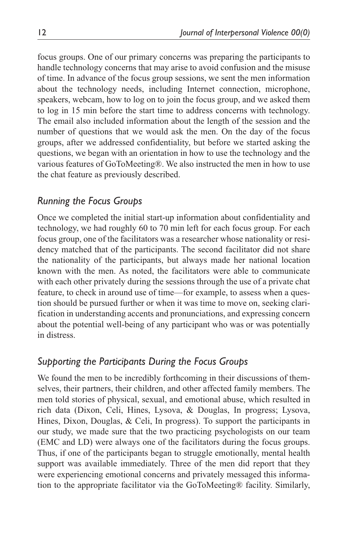focus groups. One of our primary concerns was preparing the participants to handle technology concerns that may arise to avoid confusion and the misuse of time. In advance of the focus group sessions, we sent the men information about the technology needs, including Internet connection, microphone, speakers, webcam, how to log on to join the focus group, and we asked them to log in 15 min before the start time to address concerns with technology. The email also included information about the length of the session and the number of questions that we would ask the men. On the day of the focus groups, after we addressed confidentiality, but before we started asking the questions, we began with an orientation in how to use the technology and the various features of GoToMeeting®. We also instructed the men in how to use the chat feature as previously described.

## *Running the Focus Groups*

Once we completed the initial start-up information about confidentiality and technology, we had roughly 60 to 70 min left for each focus group. For each focus group, one of the facilitators was a researcher whose nationality or residency matched that of the participants. The second facilitator did not share the nationality of the participants, but always made her national location known with the men. As noted, the facilitators were able to communicate with each other privately during the sessions through the use of a private chat feature, to check in around use of time—for example, to assess when a question should be pursued further or when it was time to move on, seeking clarification in understanding accents and pronunciations, and expressing concern about the potential well-being of any participant who was or was potentially in distress.

## *Supporting the Participants During the Focus Groups*

We found the men to be incredibly forthcoming in their discussions of themselves, their partners, their children, and other affected family members. The men told stories of physical, sexual, and emotional abuse, which resulted in rich data (Dixon, Celi, Hines, Lysova, & Douglas, In progress; Lysova, Hines, Dixon, Douglas, & Celi, In progress). To support the participants in our study, we made sure that the two practicing psychologists on our team (EMC and LD) were always one of the facilitators during the focus groups. Thus, if one of the participants began to struggle emotionally, mental health support was available immediately. Three of the men did report that they were experiencing emotional concerns and privately messaged this information to the appropriate facilitator via the GoToMeeting® facility. Similarly,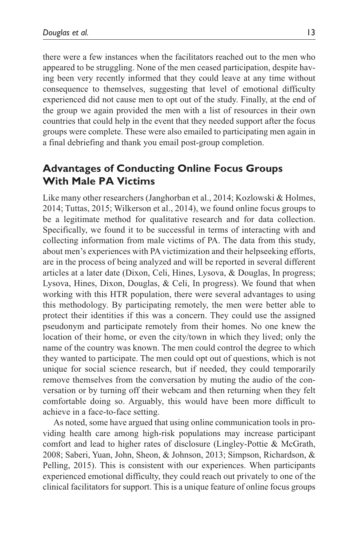there were a few instances when the facilitators reached out to the men who appeared to be struggling. None of the men ceased participation, despite having been very recently informed that they could leave at any time without consequence to themselves, suggesting that level of emotional difficulty experienced did not cause men to opt out of the study. Finally, at the end of the group we again provided the men with a list of resources in their own countries that could help in the event that they needed support after the focus groups were complete. These were also emailed to participating men again in a final debriefing and thank you email post-group completion.

# **Advantages of Conducting Online Focus Groups With Male PA Victims**

Like many other researchers (Janghorban et al., 2014; Kozlowski & Holmes, 2014; Tuttas, 2015; Wilkerson et al., 2014), we found online focus groups to be a legitimate method for qualitative research and for data collection. Specifically, we found it to be successful in terms of interacting with and collecting information from male victims of PA. The data from this study, about men's experiences with PA victimization and their helpseeking efforts, are in the process of being analyzed and will be reported in several different articles at a later date (Dixon, Celi, Hines, Lysova, & Douglas, In progress; Lysova, Hines, Dixon, Douglas, & Celi, In progress). We found that when working with this HTR population, there were several advantages to using this methodology. By participating remotely, the men were better able to protect their identities if this was a concern. They could use the assigned pseudonym and participate remotely from their homes. No one knew the location of their home, or even the city/town in which they lived; only the name of the country was known. The men could control the degree to which they wanted to participate. The men could opt out of questions, which is not unique for social science research, but if needed, they could temporarily remove themselves from the conversation by muting the audio of the conversation or by turning off their webcam and then returning when they felt comfortable doing so. Arguably, this would have been more difficult to achieve in a face-to-face setting.

As noted, some have argued that using online communication tools in providing health care among high-risk populations may increase participant comfort and lead to higher rates of disclosure (Lingley-Pottie & McGrath, 2008; Saberi, Yuan, John, Sheon, & Johnson, 2013; Simpson, Richardson, & Pelling, 2015). This is consistent with our experiences. When participants experienced emotional difficulty, they could reach out privately to one of the clinical facilitators for support. This is a unique feature of online focus groups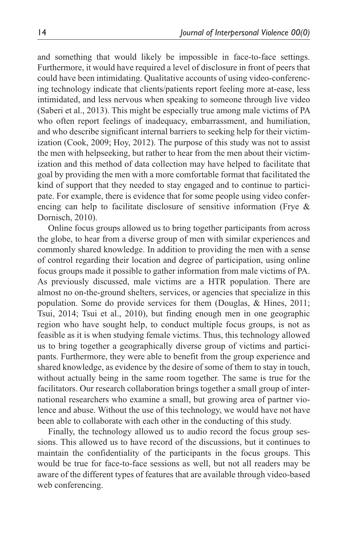and something that would likely be impossible in face-to-face settings. Furthermore, it would have required a level of disclosure in front of peers that could have been intimidating. Qualitative accounts of using video-conferencing technology indicate that clients/patients report feeling more at-ease, less intimidated, and less nervous when speaking to someone through live video (Saberi et al., 2013). This might be especially true among male victims of PA who often report feelings of inadequacy, embarrassment, and humiliation, and who describe significant internal barriers to seeking help for their victimization (Cook, 2009; Hoy, 2012). The purpose of this study was not to assist the men with helpseeking, but rather to hear from the men about their victimization and this method of data collection may have helped to facilitate that goal by providing the men with a more comfortable format that facilitated the kind of support that they needed to stay engaged and to continue to participate. For example, there is evidence that for some people using video conferencing can help to facilitate disclosure of sensitive information (Frye & Dornisch, 2010).

Online focus groups allowed us to bring together participants from across the globe, to hear from a diverse group of men with similar experiences and commonly shared knowledge. In addition to providing the men with a sense of control regarding their location and degree of participation, using online focus groups made it possible to gather information from male victims of PA. As previously discussed, male victims are a HTR population. There are almost no on-the-ground shelters, services, or agencies that specialize in this population. Some do provide services for them (Douglas, & Hines, 2011; Tsui, 2014; Tsui et al., 2010), but finding enough men in one geographic region who have sought help, to conduct multiple focus groups, is not as feasible as it is when studying female victims. Thus, this technology allowed us to bring together a geographically diverse group of victims and participants. Furthermore, they were able to benefit from the group experience and shared knowledge, as evidence by the desire of some of them to stay in touch, without actually being in the same room together. The same is true for the facilitators. Our research collaboration brings together a small group of international researchers who examine a small, but growing area of partner violence and abuse. Without the use of this technology, we would have not have been able to collaborate with each other in the conducting of this study.

Finally, the technology allowed us to audio record the focus group sessions. This allowed us to have record of the discussions, but it continues to maintain the confidentiality of the participants in the focus groups. This would be true for face-to-face sessions as well, but not all readers may be aware of the different types of features that are available through video-based web conferencing.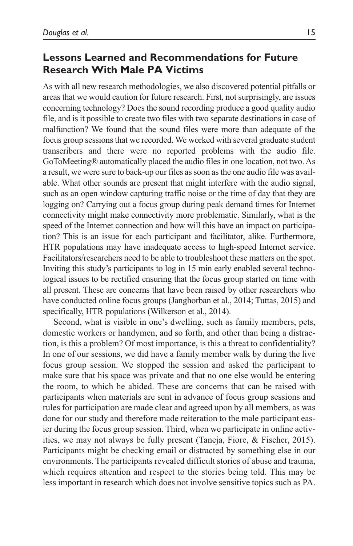## **Lessons Learned and Recommendations for Future Research With Male PA Victims**

As with all new research methodologies, we also discovered potential pitfalls or areas that we would caution for future research. First, not surprisingly, are issues concerning technology? Does the sound recording produce a good quality audio file, and is it possible to create two files with two separate destinations in case of malfunction? We found that the sound files were more than adequate of the focus group sessions that we recorded. We worked with several graduate student transcribers and there were no reported problems with the audio file. GoToMeeting® automatically placed the audio files in one location, not two. As a result, we were sure to back-up our files as soon as the one audio file was available. What other sounds are present that might interfere with the audio signal, such as an open window capturing traffic noise or the time of day that they are logging on? Carrying out a focus group during peak demand times for Internet connectivity might make connectivity more problematic. Similarly, what is the speed of the Internet connection and how will this have an impact on participation? This is an issue for each participant and facilitator, alike. Furthermore, HTR populations may have inadequate access to high-speed Internet service. Facilitators/researchers need to be able to troubleshoot these matters on the spot. Inviting this study's participants to log in 15 min early enabled several technological issues to be rectified ensuring that the focus group started on time with all present. These are concerns that have been raised by other researchers who have conducted online focus groups (Janghorban et al., 2014; Tuttas, 2015) and specifically, HTR populations (Wilkerson et al., 2014).

Second, what is visible in one's dwelling, such as family members, pets, domestic workers or handymen, and so forth, and other than being a distraction, is this a problem? Of most importance, is this a threat to confidentiality? In one of our sessions, we did have a family member walk by during the live focus group session. We stopped the session and asked the participant to make sure that his space was private and that no one else would be entering the room, to which he abided. These are concerns that can be raised with participants when materials are sent in advance of focus group sessions and rules for participation are made clear and agreed upon by all members, as was done for our study and therefore made reiteration to the male participant easier during the focus group session. Third, when we participate in online activities, we may not always be fully present (Taneja, Fiore, & Fischer, 2015). Participants might be checking email or distracted by something else in our environments. The participants revealed difficult stories of abuse and trauma, which requires attention and respect to the stories being told. This may be less important in research which does not involve sensitive topics such as PA.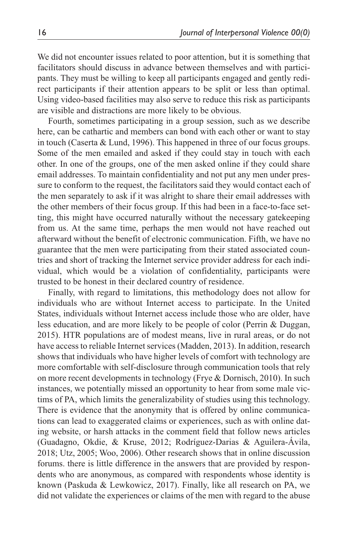We did not encounter issues related to poor attention, but it is something that facilitators should discuss in advance between themselves and with participants. They must be willing to keep all participants engaged and gently redirect participants if their attention appears to be split or less than optimal. Using video-based facilities may also serve to reduce this risk as participants are visible and distractions are more likely to be obvious.

Fourth, sometimes participating in a group session, such as we describe here, can be cathartic and members can bond with each other or want to stay in touch (Caserta & Lund, 1996). This happened in three of our focus groups. Some of the men emailed and asked if they could stay in touch with each other. In one of the groups, one of the men asked online if they could share email addresses. To maintain confidentiality and not put any men under pressure to conform to the request, the facilitators said they would contact each of the men separately to ask if it was alright to share their email addresses with the other members of their focus group. If this had been in a face-to-face setting, this might have occurred naturally without the necessary gatekeeping from us. At the same time, perhaps the men would not have reached out afterward without the benefit of electronic communication. Fifth, we have no guarantee that the men were participating from their stated associated countries and short of tracking the Internet service provider address for each individual, which would be a violation of confidentiality, participants were trusted to be honest in their declared country of residence.

Finally, with regard to limitations, this methodology does not allow for individuals who are without Internet access to participate. In the United States, individuals without Internet access include those who are older, have less education, and are more likely to be people of color (Perrin & Duggan, 2015). HTR populations are of modest means, live in rural areas, or do not have access to reliable Internet services (Madden, 2013). In addition, research shows that individuals who have higher levels of comfort with technology are more comfortable with self-disclosure through communication tools that rely on more recent developments in technology (Frye & Dornisch, 2010). In such instances, we potentially missed an opportunity to hear from some male victims of PA, which limits the generalizability of studies using this technology. There is evidence that the anonymity that is offered by online communications can lead to exaggerated claims or experiences, such as with online dating website, or harsh attacks in the comment field that follow news articles (Guadagno, Okdie, & Kruse, 2012; Rodríguez-Darias & Aguilera-Ávila, 2018; Utz, 2005; Woo, 2006). Other research shows that in online discussion forums. there is little difference in the answers that are provided by respondents who are anonymous, as compared with respondents whose identity is known (Paskuda & Lewkowicz, 2017). Finally, like all research on PA, we did not validate the experiences or claims of the men with regard to the abuse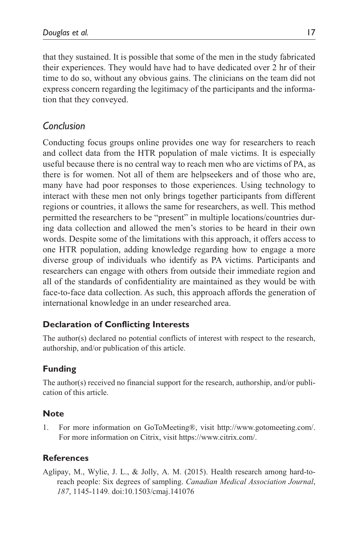that they sustained. It is possible that some of the men in the study fabricated their experiences. They would have had to have dedicated over 2 hr of their time to do so, without any obvious gains. The clinicians on the team did not express concern regarding the legitimacy of the participants and the information that they conveyed.

## *Conclusion*

Conducting focus groups online provides one way for researchers to reach and collect data from the HTR population of male victims. It is especially useful because there is no central way to reach men who are victims of PA, as there is for women. Not all of them are helpseekers and of those who are, many have had poor responses to those experiences. Using technology to interact with these men not only brings together participants from different regions or countries, it allows the same for researchers, as well. This method permitted the researchers to be "present" in multiple locations/countries during data collection and allowed the men's stories to be heard in their own words. Despite some of the limitations with this approach, it offers access to one HTR population, adding knowledge regarding how to engage a more diverse group of individuals who identify as PA victims. Participants and researchers can engage with others from outside their immediate region and all of the standards of confidentiality are maintained as they would be with face-to-face data collection. As such, this approach affords the generation of international knowledge in an under researched area.

## **Declaration of Conflicting Interests**

The author(s) declared no potential conflicts of interest with respect to the research, authorship, and/or publication of this article.

## **Funding**

The author(s) received no financial support for the research, authorship, and/or publication of this article.

#### **Note**

1. For more information on GoToMeeting®, visit [http://www.gotomeeting.com/.](http://www.gotomeeting.com/) For more information on Citrix, visit <https://www.citrix.com/>.

#### **References**

Aglipay, M., Wylie, J. L., & Jolly, A. M. (2015). Health research among hard-toreach people: Six degrees of sampling. *Canadian Medical Association Journal*, *187*, 1145-1149. doi:10.1503/cmaj.141076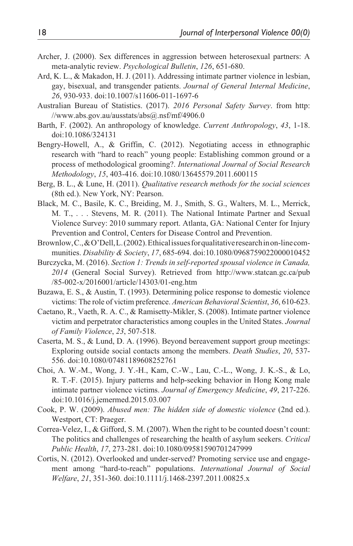- Archer, J. (2000). Sex differences in aggression between heterosexual partners: A meta-analytic review. *Psychological Bulletin*, *126*, 651-680.
- Ard, K. L., & Makadon, H. J. (2011). Addressing intimate partner violence in lesbian, gay, bisexual, and transgender patients. *Journal of General Internal Medicine*, *26*, 930-933. doi:10.1007/s11606-011-1697-6
- Australian Bureau of Statistics. (2017). *2016 Personal Safety Survey*. from [http:](http://www.abs.gov.au/ausstats/abs) [//www.abs.gov.au/ausstats/abs](http://www.abs.gov.au/ausstats/abs)@.nsf/mf/4906.0
- Barth, F. (2002). An anthropology of knowledge. *Current Anthropology*, *43*, 1-18. doi:10.1086/324131
- Bengry-Howell, A., & Griffin, C. (2012). Negotiating access in ethnographic research with "hard to reach" young people: Establishing common ground or a process of methodological grooming?. *International Journal of Social Research Methodology*, *15*, 403-416. doi:10.1080/13645579.2011.600115
- Berg, B. L., & Lune, H. (2011). *Qualitative research methods for the social sciences* (8th ed.). New York, NY: Pearson.
- Black, M. C., Basile, K. C., Breiding, M. J., Smith, S. G., Walters, M. L., Merrick, M. T., . . . Stevens, M. R. (2011). The National Intimate Partner and Sexual Violence Survey: 2010 summary report. Atlanta, GA: National Center for Injury Prevention and Control, Centers for Disease Control and Prevention.
- Brownlow, C., & O'Dell, L. (2002). Ethical issues for qualitative research in on-line communities. *Disability & Society*, *17*, 685-694. doi:10.1080/0968759022000010452
- Burczycka, M. (2016). *Section 1: Trends in self-reported spousal violence in Canada, 2014* (General Social Survey). Retrieved from [http://www.statcan.gc.ca/pub](http://www.statcan.gc.ca/pub/85-002-x/2016001/article/14303/01-eng.htm) [/85-002-x/2016001/article/14303/01-eng.htm](http://www.statcan.gc.ca/pub/85-002-x/2016001/article/14303/01-eng.htm)
- Buzawa, E. S., & Austin, T. (1993). Determining police response to domestic violence victims: The role of victim preference. *American Behavioral Scientist*, *36*, 610-623.
- Caetano, R., Vaeth, R. A. C., & Ramisetty-Mikler, S. (2008). Intimate partner violence victim and perpetrator characteristics among couples in the United States. *Journal of Family Violence*, *23*, 507-518.
- Caserta, M. S., & Lund, D. A. (1996). Beyond bereavement support group meetings: Exploring outside social contacts among the members. *Death Studies*, *20*, 537- 556. doi:10.1080/07481189608252761
- Choi, A. W.-M., Wong, J. Y.-H., Kam, C.-W., Lau, C.-L., Wong, J. K.-S., & Lo, R. T.-F. (2015). Injury patterns and help-seeking behavior in Hong Kong male intimate partner violence victims. *Journal of Emergency Medicine*, *49*, 217-226. doi:10.1016/j.jemermed.2015.03.007
- Cook, P. W. (2009). *Abused men: The hidden side of domestic violence* (2nd ed.). Westport, CT: Praeger.
- Correa-Velez, I., & Gifford, S. M. (2007). When the right to be counted doesn't count: The politics and challenges of researching the health of asylum seekers. *Critical Public Health*, *17*, 273-281. doi:10.1080/09581590701247999
- Cortis, N. (2012). Overlooked and under-served? Promoting service use and engagement among "hard-to-reach" populations. *International Journal of Social Welfare*, *21*, 351-360. doi:10.1111/j.1468-2397.2011.00825.x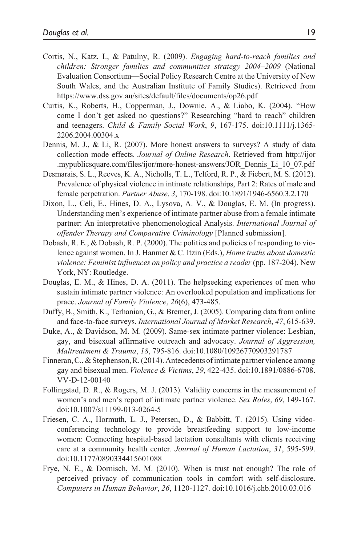- Cortis, N., Katz, I., & Patulny, R. (2009). *Engaging hard-to-reach families and children: Stronger families and communities strategy 2004–2009* (National Evaluation Consortium—Social Policy Research Centre at the University of New South Wales, and the Australian Institute of Family Studies). Retrieved from <https://www.dss.gov.au/sites/default/files/documents/op26.pdf>
- Curtis, K., Roberts, H., Copperman, J., Downie, A., & Liabo, K. (2004). "How come I don't get asked no questions?" Researching "hard to reach" children and teenagers. *Child & Family Social Work*, *9*, 167-175. doi:10.1111/j.1365- 2206.2004.00304.x
- Dennis, M. J., & Li, R. (2007). More honest answers to surveys? A study of data collection mode effects. *Journal of Online Research*. Retrieved from [http://ijor](http://ijor.mypublicsquare.com/files/ijor/more-honest-answers/JOR_Dennis_Li_10_07.pdf) [.mypublicsquare.com/files/ijor/more-honest-answers/JOR\\_Dennis\\_Li\\_10\\_07.pdf](http://ijor.mypublicsquare.com/files/ijor/more-honest-answers/JOR_Dennis_Li_10_07.pdf)
- Desmarais, S. L., Reeves, K. A., Nicholls, T. L., Telford, R. P., & Fiebert, M. S. (2012). Prevalence of physical violence in intimate relationships, Part 2: Rates of male and female perpetration. *Partner Abuse*, *3*, 170-198. doi:10.1891/1946-6560.3.2.170
- Dixon, L., Celi, E., Hines, D. A., Lysova, A. V., & Douglas, E. M. (In progress). Understanding men's experience of intimate partner abuse from a female intimate partner: An interpretative phenomenological Analysis. *International Journal of offender Therapy and Comparative Criminology* [Planned submission].
- Dobash, R. E., & Dobash, R. P. (2000). The politics and policies of responding to violence against women. In J. Hanmer & C. Itzin (Eds.), *Home truths about domestic violence: Feminist influences on policy and practice a reader* (pp. 187-204). New York, NY: Routledge.
- Douglas, E. M., & Hines, D. A. (2011). The helpseeking experiences of men who sustain intimate partner violence: An overlooked population and implications for prace. *Journal of Family Violence*, *26*(6), 473-485.
- Duffy, B., Smith, K., Terhanian, G., & Bremer, J. (2005). Comparing data from online and face-to-face surveys. *International Journal of Market Research*, *47*, 615-639.
- Duke, A., & Davidson, M. M. (2009). Same-sex intimate partner violence: Lesbian, gay, and bisexual affirmative outreach and advocacy. *Journal of Aggression, Maltreatment & Trauma*, *18*, 795-816. doi:10.1080/10926770903291787
- Finneran, C., & Stephenson, R. (2014). Antecedents of intimate partner violence among gay and bisexual men. *Violence & Victims*, *29*, 422-435. doi:10.1891/0886-6708. VV-D-12-00140
- Follingstad, D. R., & Rogers, M. J. (2013). Validity concerns in the measurement of women's and men's report of intimate partner violence. *Sex Roles*, *69*, 149-167. doi:10.1007/s11199-013-0264-5
- Friesen, C. A., Hormuth, L. J., Petersen, D., & Babbitt, T. (2015). Using videoconferencing technology to provide breastfeeding support to low-income women: Connecting hospital-based lactation consultants with clients receiving care at a community health center. *Journal of Human Lactation*, *31*, 595-599. doi:10.1177/0890334415601088
- Frye, N. E., & Dornisch, M. M. (2010). When is trust not enough? The role of perceived privacy of communication tools in comfort with self-disclosure. *Computers in Human Behavior*, *26*, 1120-1127. doi:10.1016/j.chb.2010.03.016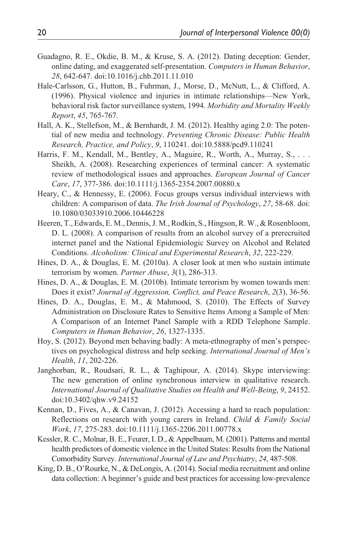- Guadagno, R. E., Okdie, B. M., & Kruse, S. A. (2012). Dating deception: Gender, online dating, and exaggerated self-presentation. *Computers in Human Behavior*, *28*, 642-647. doi:10.1016/j.chb.2011.11.010
- Hale-Carlsson, G., Hutton, B., Fuhrman, J., Morse, D., McNutt, L., & Clifford, A. (1996). Physical violence and injuries in intimate relationships—New York, behavioral risk factor surveillance system, 1994. *Morbidity and Mortality Weekly Report*, *45*, 765-767.
- Hall, A. K., Stellefson, M., & Bernhardt, J. M. (2012). Healthy aging 2.0: The potential of new media and technology. *Preventing Chronic Disease: Public Health Research, Practice, and Policy*, *9*, 110241. doi:10.5888/pcd9.110241
- Harris, F. M., Kendall, M., Bentley, A., Maguire, R., Worth, A., Murray, S., . . . Sheikh, A. (2008). Researching experiences of terminal cancer: A systematic review of methodological issues and approaches. *European Journal of Cancer Care*, *17*, 377-386. doi:10.1111/j.1365-2354.2007.00880.x
- Heary, C., & Hennessy, E. (2006). Focus groups versus individual interviews with children: A comparison of data. *The Irish Journal of Psychology*, *27*, 58-68. doi: 10.1080/03033910.2006.10446228
- Heeren, T., Edwards, E. M., Dennis, J. M., Rodkin, S., Hingson, R. W., & Rosenbloom, D. L. (2008). A comparison of results from an alcohol survey of a prerecruited internet panel and the National Epidemiologic Survey on Alcohol and Related Conditions. *Alcoholism: Clinical and Experimental Research*, *32*, 222-229.
- Hines, D. A., & Douglas, E. M. (2010a). A closer look at men who sustain intimate terrorism by women. *Partner Abuse*, *3*(1), 286-313.
- Hines, D. A., & Douglas, E. M. (2010b). Intimate terrorism by women towards men: Does it exist? *Journal of Aggression, Conflict, and Peace Research*, *2*(3), 36-56.
- Hines, D. A., Douglas, E. M., & Mahmood, S. (2010). The Effects of Survey Administration on Disclosure Rates to Sensitive Items Among a Sample of Men: A Comparison of an Internet Panel Sample with a RDD Telephone Sample. *Computers in Human Behavior*, *26*, 1327-1335.
- Hoy, S. (2012). Beyond men behaving badly: A meta-ethnography of men's perspectives on psychological distress and help seeking. *International Journal of Men's Health*, *11*, 202-226.
- Janghorban, R., Roudsari, R. L., & Taghipour, A. (2014). Skype interviewing: The new generation of online synchronous interview in qualitative research. *International Journal of Qualitative Studies on Health and Well-Being*, *9*, 24152. doi:10.3402/qhw.v9.24152
- Kennan, D., Fives, A., & Canavan, J. (2012). Accessing a hard to reach population: Reflections on research with young carers in Ireland. *Child & Family Social Work*, *17*, 275-283. doi:10.1111/j.1365-2206.2011.00778.x
- Kessler, R. C., Molnar, B. E., Feurer, I. D., & Appelbaum, M. (2001). Patterns and mental health predictors of domestic violence in the United States: Results from the National Comorbidity Survey. *International Journal of Law and Psychiatry*, *24*, 487-508.
- King, D. B., O'Rourke, N., & DeLongis, A. (2014). Social media recruitment and online data collection: A beginner's guide and best practices for accessing low-prevalence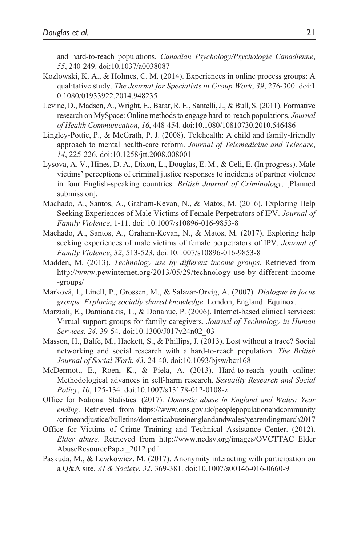and hard-to-reach populations. *Canadian Psychology/Psychologie Canadienne*, *55*, 240-249. doi:10.1037/a0038087

- Kozlowski, K. A., & Holmes, C. M. (2014). Experiences in online process groups: A qualitative study. *The Journal for Specialists in Group Work*, *39*, 276-300. doi:1 0.1080/01933922.2014.948235
- Levine, D., Madsen, A., Wright, E., Barar, R. E., Santelli, J., & Bull, S. (2011). Formative research on MySpace: Online methods to engage hard-to-reach populations. *Journal of Health Communication*, *16*, 448-454. doi:10.1080/10810730.2010.546486
- Lingley-Pottie, P., & McGrath, P. J. (2008). Telehealth: A child and family-friendly approach to mental health-care reform. *Journal of Telemedicine and Telecare*, *14*, 225-226. doi:10.1258/jtt.2008.008001
- Lysova, A. V., Hines, D. A., Dixon, L., Douglas, E. M., & Celi, E. (In progress). Male victims' perceptions of criminal justice responses to incidents of partner violence in four English-speaking countries. *British Journal of Criminology*, [Planned submission].
- Machado, A., Santos, A., Graham-Kevan, N., & Matos, M. (2016). Exploring Help Seeking Experiences of Male Victims of Female Perpetrators of IPV. *Journal of Family Violence*, 1-11. doi: 10.1007/s10896-016-9853-8
- Machado, A., Santos, A., Graham-Kevan, N., & Matos, M. (2017). Exploring help seeking experiences of male victims of female perpetrators of IPV. *Journal of Family Violence*, *32*, 513-523. doi:10.1007/s10896-016-9853-8
- Madden, M. (2013). *Technology use by different income groups*. Retrieved from [http://www.pewinternet.org/2013/05/29/technology-use-by-different-income](http://www.pewinternet.org/2013/05/29/technology-use-by-different-income-groups/) [-groups/](http://www.pewinternet.org/2013/05/29/technology-use-by-different-income-groups/)
- Marková, I., Linell, P., Grossen, M., & Salazar-Orvig, A. (2007). *Dialogue in focus groups: Exploring socially shared knowledge*. London, England: Equinox.
- Marziali, E., Damianakis, T., & Donahue, P. (2006). Internet-based clinical services: Virtual support groups for family caregivers. *Journal of Technology in Human Services*, *24*, 39-54. doi:10.1300/J017v24n02\_03
- Masson, H., Balfe, M., Hackett, S., & Phillips, J. (2013). Lost without a trace? Social networking and social research with a hard-to-reach population. *The British Journal of Social Work*, *43*, 24-40. doi:10.1093/bjsw/bcr168
- McDermott, E., Roen, K., & Piela, A. (2013). Hard-to-reach youth online: Methodological advances in self-harm research. *Sexuality Research and Social Policy*, *10*, 125-134. doi:10.1007/s13178-012-0108-z
- Office for National Statistics. (2017). *Domestic abuse in England and Wales: Year ending*. Retrieved from [https://www.ons.gov.uk/peoplepopulationandcommunity](https://www.ons.gov.uk/peoplepopulationandcommunity/crimeandjustice/bulletins/domesticabuseinenglandandwales/yearendingmarch2017) [/crimeandjustice/bulletins/domesticabuseinenglandandwales/yearendingmarch2017](https://www.ons.gov.uk/peoplepopulationandcommunity/crimeandjustice/bulletins/domesticabuseinenglandandwales/yearendingmarch2017)
- Office for Victims of Crime Training and Technical Assistance Center. (2012). *Elder abuse*. Retrieved from [http://www.ncdsv.org/images/OVCTTAC\\_Elder](http://www.ncdsv.org/images/OVCTTAC_ElderAbuseResourcePaper_2012.pdf) [AbuseResourcePaper\\_2012.pdf](http://www.ncdsv.org/images/OVCTTAC_ElderAbuseResourcePaper_2012.pdf)
- Paskuda, M., & Lewkowicz, M. (2017). Anonymity interacting with participation on a Q&A site. *AI & Society*, *32*, 369-381. doi:10.1007/s00146-016-0660-9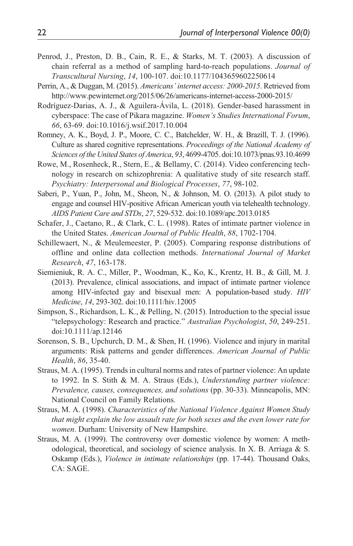- Penrod, J., Preston, D. B., Cain, R. E., & Starks, M. T. (2003). A discussion of chain referral as a method of sampling hard-to-reach populations. *Journal of Transcultural Nursing*, *14*, 100-107. doi:10.1177/1043659602250614
- Perrin, A., & Duggan, M. (2015). *Americans' internet access: 2000-2015*. Retrieved from <http://www.pewinternet.org/2015/06/26/americans-internet-access-2000-2015/>
- Rodríguez-Darias, A. J., & Aguilera-Ávila, L. (2018). Gender-based harassment in cyberspace: The case of Pikara magazine. *Women's Studies International Forum*, *66*, 63-69. doi:10.1016/j.wsif.2017.10.004
- Romney, A. K., Boyd, J. P., Moore, C. C., Batchelder, W. H., & Brazill, T. J. (1996). Culture as shared cognitive representations. *Proceedings of the National Academy of Sciences of the United States of America*, *93*, 4699-4705. doi:10.1073/pnas.93.10.4699
- Rowe, M., Rosenheck, R., Stern, E., & Bellamy, C. (2014). Video conferencing technology in research on schizophrenia: A qualitative study of site research staff. *Psychiatry: Interpersonal and Biological Processes*, *77*, 98-102.
- Saberi, P., Yuan, P., John, M., Sheon, N., & Johnson, M. O. (2013). A pilot study to engage and counsel HIV-positive African American youth via telehealth technology. *AIDS Patient Care and STDs*, *27*, 529-532. doi:10.1089/apc.2013.0185
- Schafer, J., Caetano, R., & Clark, C. L. (1998). Rates of intimate partner violence in the United States. *American Journal of Public Health*, *88*, 1702-1704.
- Schillewaert, N., & Meulemeester, P. (2005). Comparing response distributions of offline and online data collection methods. *International Journal of Market Research*, *47*, 163-178.
- Siemieniuk, R. A. C., Miller, P., Woodman, K., Ko, K., Krentz, H. B., & Gill, M. J. (2013). Prevalence, clinical associations, and impact of intimate partner violence among HIV-infected gay and bisexual men: A population-based study. *HIV Medicine*, *14*, 293-302. doi:10.1111/hiv.12005
- Simpson, S., Richardson, L. K., & Pelling, N. (2015). Introduction to the special issue "telepsychology: Research and practice." *Australian Psychologist*, *50*, 249-251. doi:10.1111/ap.12146
- Sorenson, S. B., Upchurch, D. M., & Shen, H. (1996). Violence and injury in marital arguments: Risk patterns and gender differences. *American Journal of Public Health*, *86*, 35-40.
- Straus, M. A. (1995). Trends in cultural norms and rates of partner violence: An update to 1992. In S. Stith & M. A. Straus (Eds.), *Understanding partner violence: Prevalence, causes, consequences, and solutions* (pp. 30-33). Minneapolis, MN: National Council on Family Relations.
- Straus, M. A. (1998). *Characteristics of the National Violence Against Women Study that might explain the low assault rate for both sexes and the even lower rate for women*. Durham: University of New Hampshire.
- Straus, M. A. (1999). The controversy over domestic violence by women: A methodological, theoretical, and sociology of science analysis. In X. B. Arriaga & S. Oskamp (Eds.), *Violence in intimate relationships* (pp. 17-44). Thousand Oaks, CA: SAGE.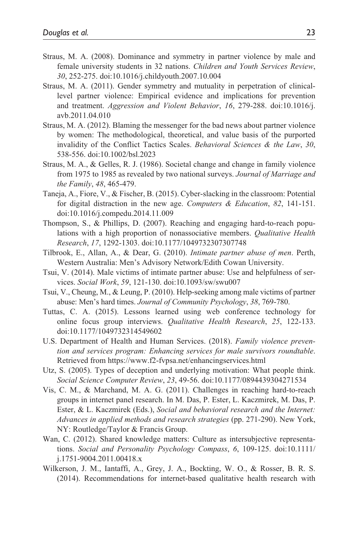- Straus, M. A. (2008). Dominance and symmetry in partner violence by male and female university students in 32 nations. *Children and Youth Services Review*, *30*, 252-275. doi:10.1016/j.childyouth.2007.10.004
- Straus, M. A. (2011). Gender symmetry and mutuality in perpetration of clinicallevel partner violence: Empirical evidence and implications for prevention and treatment. *Aggression and Violent Behavior*, *16*, 279-288. doi:10.1016/j. avb.2011.04.010
- Straus, M. A. (2012). Blaming the messenger for the bad news about partner violence by women: The methodological, theoretical, and value basis of the purported invalidity of the Conflict Tactics Scales. *Behavioral Sciences & the Law*, *30*, 538-556. doi:10.1002/bsl.2023
- Straus, M. A., & Gelles, R. J. (1986). Societal change and change in family violence from 1975 to 1985 as revealed by two national surveys. *Journal of Marriage and the Family*, *48*, 465-479.
- Taneja, A., Fiore, V., & Fischer, B. (2015). Cyber-slacking in the classroom: Potential for digital distraction in the new age. *Computers & Education*, *82*, 141-151. doi:10.1016/j.compedu.2014.11.009
- Thompson, S., & Phillips, D. (2007). Reaching and engaging hard-to-reach populations with a high proportion of nonassociative members. *Qualitative Health Research*, *17*, 1292-1303. doi:10.1177/1049732307307748
- Tilbrook, E., Allan, A., & Dear, G. (2010). *Intimate partner abuse of men*. Perth, Western Australia: Men's Advisory Network/Edith Cowan University.
- Tsui, V. (2014). Male victims of intimate partner abuse: Use and helpfulness of services. *Social Work*, *59*, 121-130. doi:10.1093/sw/swu007
- Tsui, V., Cheung, M., & Leung, P. (2010). Help-seeking among male victims of partner abuse: Men's hard times. *Journal of Community Psychology*, *38*, 769-780.
- Tuttas, C. A. (2015). Lessons learned using web conference technology for online focus group interviews. *Qualitative Health Research*, *25*, 122-133. doi:10.1177/1049732314549602
- U.S. Department of Health and Human Services. (2018). *Family violence prevention and services program: Enhancing services for male survivors roundtable*. Retrieved from <https://www.f2-fvpsa.net/enhancingservices.html>
- Utz, S. (2005). Types of deception and underlying motivation: What people think. *Social Science Computer Review*, *23*, 49-56. doi:10.1177/0894439304271534
- Vis, C. M., & Marchand, M. A. G. (2011). Challenges in reaching hard-to-reach groups in internet panel research. In M. Das, P. Ester, L. Kaczmirek, M. Das, P. Ester, & L. Kaczmirek (Eds.), *Social and behavioral research and the Internet: Advances in applied methods and research strategies* (pp. 271-290). New York, NY: Routledge/Taylor & Francis Group.
- Wan, C. (2012). Shared knowledge matters: Culture as intersubjective representations. *Social and Personality Psychology Compass*, *6*, 109-125. doi:10.1111/ j.1751-9004.2011.00418.x
- Wilkerson, J. M., Iantaffi, A., Grey, J. A., Bockting, W. O., & Rosser, B. R. S. (2014). Recommendations for internet-based qualitative health research with